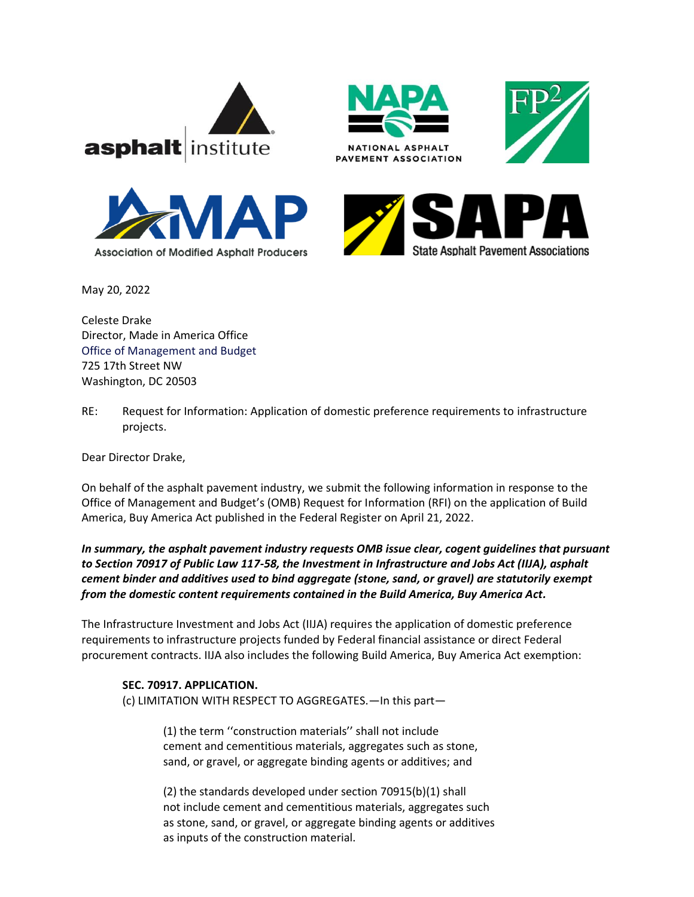









May 20, 2022

Celeste Drake Director, Made in America Office Office of Management and Budget 725 17th Street NW Washington, DC 20503

RE: Request for Information: Application of domestic preference requirements to infrastructure projects.

Dear Director Drake,

On behalf of the asphalt pavement industry, we submit the following information in response to the Office of Management and Budget's (OMB) Request for Information (RFI) on the application of Build America, Buy America Act published in the Federal Register on April 21, 2022.

*In summary, the asphalt pavement industry requests OMB issue clear, cogent guidelines that pursuant to Section 70917 of Public Law 117-58, the Investment in Infrastructure and Jobs Act (IIJA), asphalt cement binder and additives used to bind aggregate (stone, sand, or gravel) are statutorily exempt from the domestic content requirements contained in the Build America, Buy America Act.* 

The Infrastructure Investment and Jobs Act (IIJA) requires the application of domestic preference requirements to infrastructure projects funded by Federal financial assistance or direct Federal procurement contracts. IIJA also includes the following Build America, Buy America Act exemption:

## **SEC. 70917. APPLICATION.**

(c) LIMITATION WITH RESPECT TO AGGREGATES.—In this part—

(1) the term ''construction materials'' shall not include cement and cementitious materials, aggregates such as stone, sand, or gravel, or aggregate binding agents or additives; and

(2) the standards developed under section 70915(b)(1) shall not include cement and cementitious materials, aggregates such as stone, sand, or gravel, or aggregate binding agents or additives as inputs of the construction material.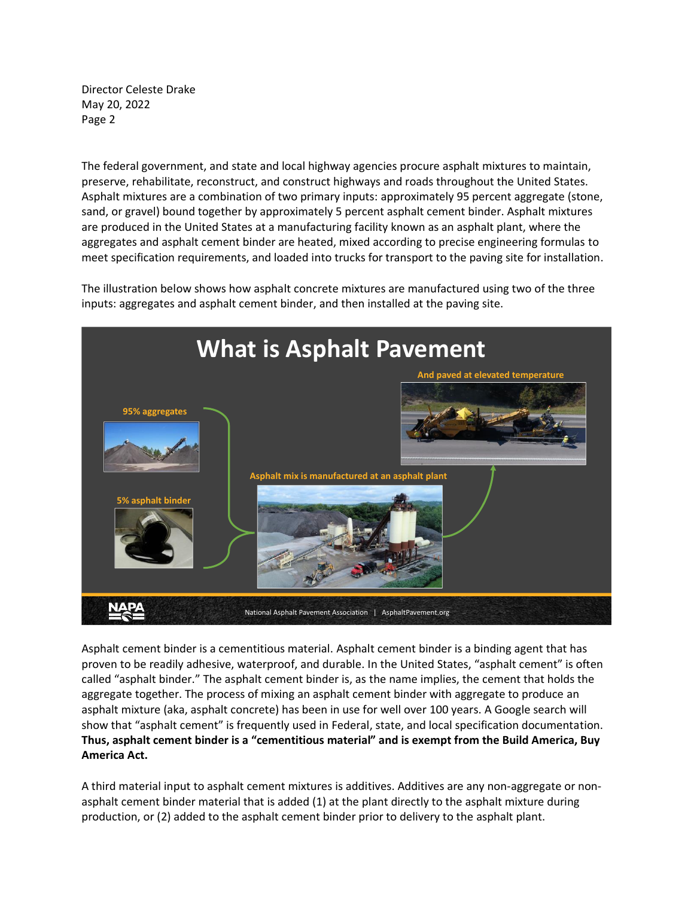Director Celeste Drake May 20, 2022 Page 2

The federal government, and state and local highway agencies procure asphalt mixtures to maintain, preserve, rehabilitate, reconstruct, and construct highways and roads throughout the United States. Asphalt mixtures are a combination of two primary inputs: approximately 95 percent aggregate (stone, sand, or gravel) bound together by approximately 5 percent asphalt cement binder. Asphalt mixtures are produced in the United States at a manufacturing facility known as an asphalt plant, where the aggregates and asphalt cement binder are heated, mixed according to precise engineering formulas to meet specification requirements, and loaded into trucks for transport to the paving site for installation.

The illustration below shows how asphalt concrete mixtures are manufactured using two of the three inputs: aggregates and asphalt cement binder, and then installed at the paving site.



Asphalt cement binder is a cementitious material. Asphalt cement binder is a binding agent that has proven to be readily adhesive, waterproof, and durable. In the United States, "asphalt cement" is often called "asphalt binder." The asphalt cement binder is, as the name implies, the cement that holds the aggregate together. The process of mixing an asphalt cement binder with aggregate to produce an asphalt mixture (aka, asphalt concrete) has been in use for well over 100 years. A Google search will show that "asphalt cement" is frequently used in Federal, state, and local specification documentation. **Thus, asphalt cement binder is a "cementitious material" and is exempt from the Build America, Buy America Act.** 

A third material input to asphalt cement mixtures is additives. Additives are any non-aggregate or nonasphalt cement binder material that is added (1) at the plant directly to the asphalt mixture during production, or (2) added to the asphalt cement binder prior to delivery to the asphalt plant.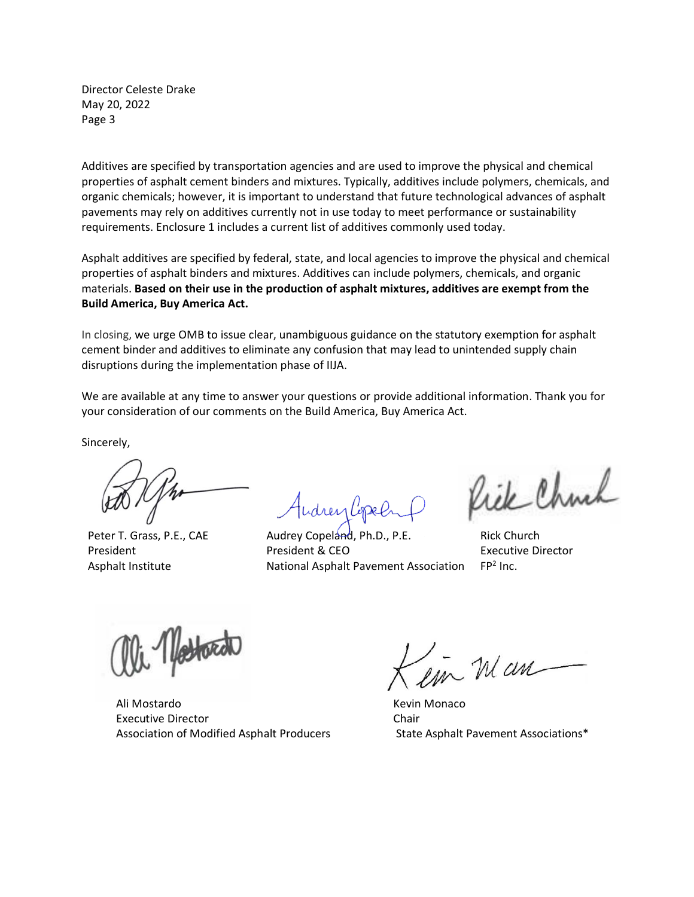Director Celeste Drake May 20, 2022 Page 3

Additives are specified by transportation agencies and are used to improve the physical and chemical properties of asphalt cement binders and mixtures. Typically, additives include polymers, chemicals, and organic chemicals; however, it is important to understand that future technological advances of asphalt pavements may rely on additives currently not in use today to meet performance or sustainability requirements. Enclosure 1 includes a current list of additives commonly used today.

Asphalt additives are specified by federal, state, and local agencies to improve the physical and chemical properties of asphalt binders and mixtures. Additives can include polymers, chemicals, and organic materials. **Based on their use in the production of asphalt mixtures, additives are exempt from the Build America, Buy America Act.**

In closing, we urge OMB to issue clear, unambiguous guidance on the statutory exemption for asphalt cement binder and additives to eliminate any confusion that may lead to unintended supply chain disruptions during the implementation phase of IIJA.

We are available at any time to answer your questions or provide additional information. Thank you for your consideration of our comments on the Build America, Buy America Act.

Sincerely,

Peter T. Grass, P.E., CAE President Asphalt Institute

Audrey Copeland, Ph.D., P.E. President & CEO National Asphalt Pavement Association

Rick Chuch

Rick Church Executive Director FP<sup>2</sup> Inc.

 Ali Mostardo Executive Director Association of Modified Asphalt Producers

in Man

Kevin Monaco Chair State Asphalt Pavement Associations\*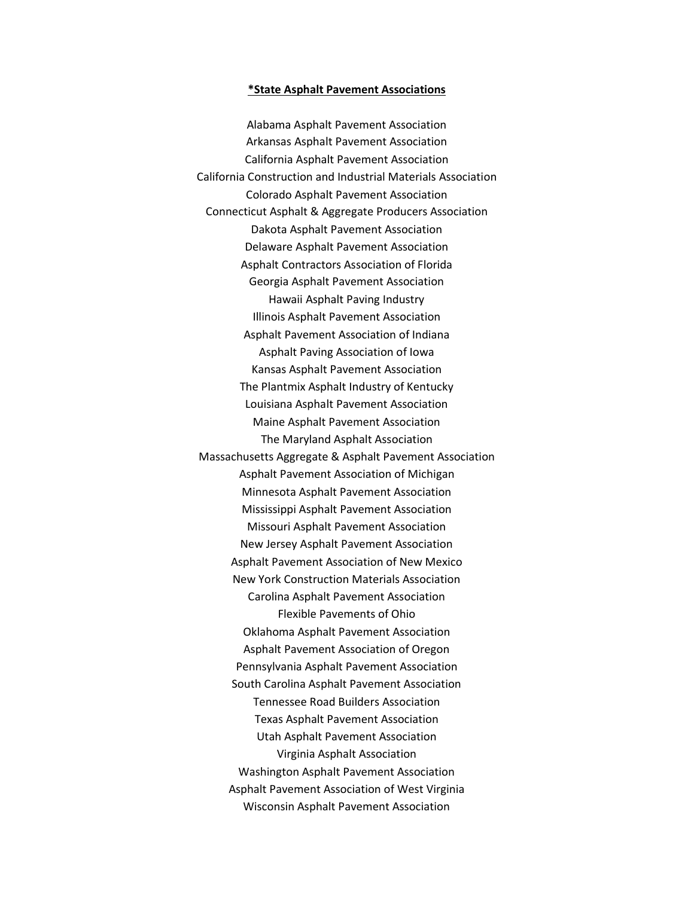## **\*State Asphalt Pavement Associations**

Alabama Asphalt Pavement Association Arkansas Asphalt Pavement Association California Asphalt Pavement Association California Construction and Industrial Materials Association Colorado Asphalt Pavement Association Connecticut Asphalt & Aggregate Producers Association Dakota Asphalt Pavement Association Delaware Asphalt Pavement Association Asphalt Contractors Association of Florida Georgia Asphalt Pavement Association Hawaii Asphalt Paving Industry Illinois Asphalt Pavement Association Asphalt Pavement Association of Indiana Asphalt Paving Association of Iowa Kansas Asphalt Pavement Association The Plantmix Asphalt Industry of Kentucky Louisiana Asphalt Pavement Association Maine Asphalt Pavement Association The Maryland Asphalt Association Massachusetts Aggregate & Asphalt Pavement Association Asphalt Pavement Association of Michigan Minnesota Asphalt Pavement Association Mississippi Asphalt Pavement Association Missouri Asphalt Pavement Association New Jersey Asphalt Pavement Association Asphalt Pavement Association of New Mexico New York Construction Materials Association Carolina Asphalt Pavement Association Flexible Pavements of Ohio Oklahoma Asphalt Pavement Association Asphalt Pavement Association of Oregon Pennsylvania Asphalt Pavement Association South Carolina Asphalt Pavement Association Tennessee Road Builders Association Texas Asphalt Pavement Association Utah Asphalt Pavement Association Virginia Asphalt Association Washington Asphalt Pavement Association Asphalt Pavement Association of West Virginia Wisconsin Asphalt Pavement Association